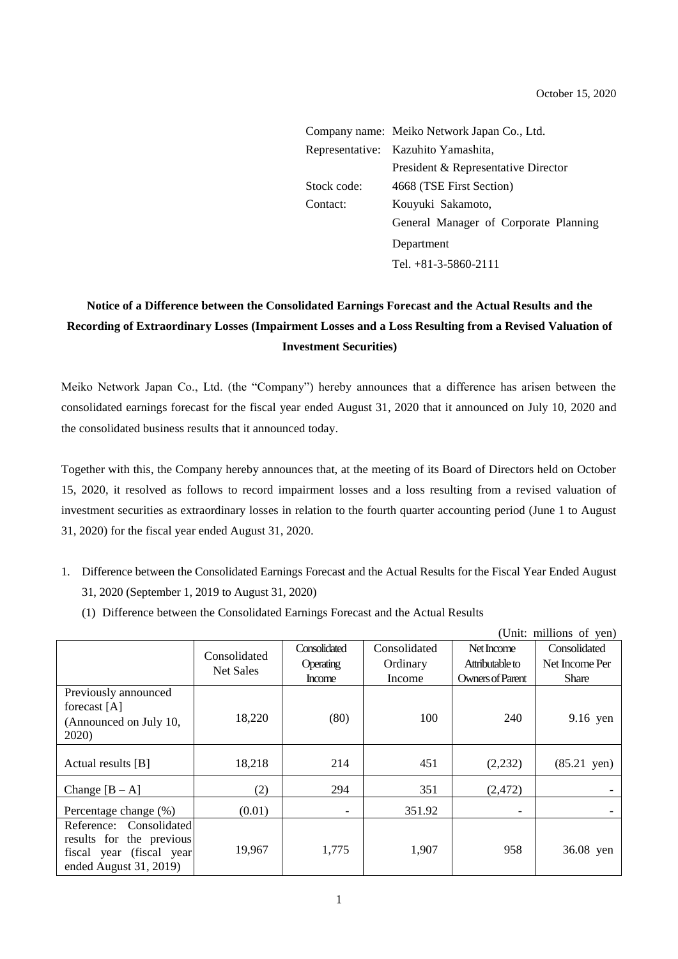|             | Company name: Meiko Network Japan Co., Ltd. |
|-------------|---------------------------------------------|
|             | Representative: Kazuhito Yamashita,         |
|             | President & Representative Director         |
| Stock code: | 4668 (TSE First Section)                    |
| Contact:    | Kouyuki Sakamoto,                           |
|             | General Manager of Corporate Planning       |
|             | Department                                  |
|             | Tel. $+81-3-5860-2111$                      |

## **Notice of a Difference between the Consolidated Earnings Forecast and the Actual Results and the Recording of Extraordinary Losses (Impairment Losses and a Loss Resulting from a Revised Valuation of Investment Securities)**

Meiko Network Japan Co., Ltd. (the "Company") hereby announces that a difference has arisen between the consolidated earnings forecast for the fiscal year ended August 31, 2020 that it announced on July 10, 2020 and the consolidated business results that it announced today.

Together with this, the Company hereby announces that, at the meeting of its Board of Directors held on October 15, 2020, it resolved as follows to record impairment losses and a loss resulting from a revised valuation of investment securities as extraordinary losses in relation to the fourth quarter accounting period (June 1 to August 31, 2020) for the fiscal year ended August 31, 2020.

- 1. Difference between the Consolidated Earnings Forecast and the Actual Results for the Fiscal Year Ended August 31, 2020 (September 1, 2019 to August 31, 2020)
	- (1) Difference between the Consolidated Earnings Forecast and the Actual Results

|                                                                                                            | (Unit: millions of yen)          |                            |                    |                                     |                                |
|------------------------------------------------------------------------------------------------------------|----------------------------------|----------------------------|--------------------|-------------------------------------|--------------------------------|
|                                                                                                            | Consolidated<br><b>Net Sales</b> | Consolidated               | Consolidated       | Net Income                          | Consolidated                   |
|                                                                                                            |                                  | Operating<br><b>Income</b> | Ordinary<br>Income | Attributable to<br>Owners of Parent | Net Income Per<br><b>Share</b> |
| Previously announced<br>forecast [A]<br>(Announced on July 10,<br>2020)                                    | 18,220                           | (80)                       | 100                | 240                                 | 9.16 yen                       |
| Actual results $[B]$                                                                                       | 18,218                           | 214                        | 451                | (2,232)                             | $(85.21 \text{ yen})$          |
| Change $[B - A]$                                                                                           | (2)                              | 294                        | 351                | (2,472)                             |                                |
| Percentage change (%)                                                                                      | (0.01)                           | $\overline{\phantom{a}}$   | 351.92             | $\overline{\phantom{a}}$            |                                |
| Reference: Consolidated<br>results for the previous<br>fiscal year (fiscal year)<br>ended August 31, 2019) | 19,967                           | 1,775                      | 1,907              | 958                                 | 36.08 yen                      |